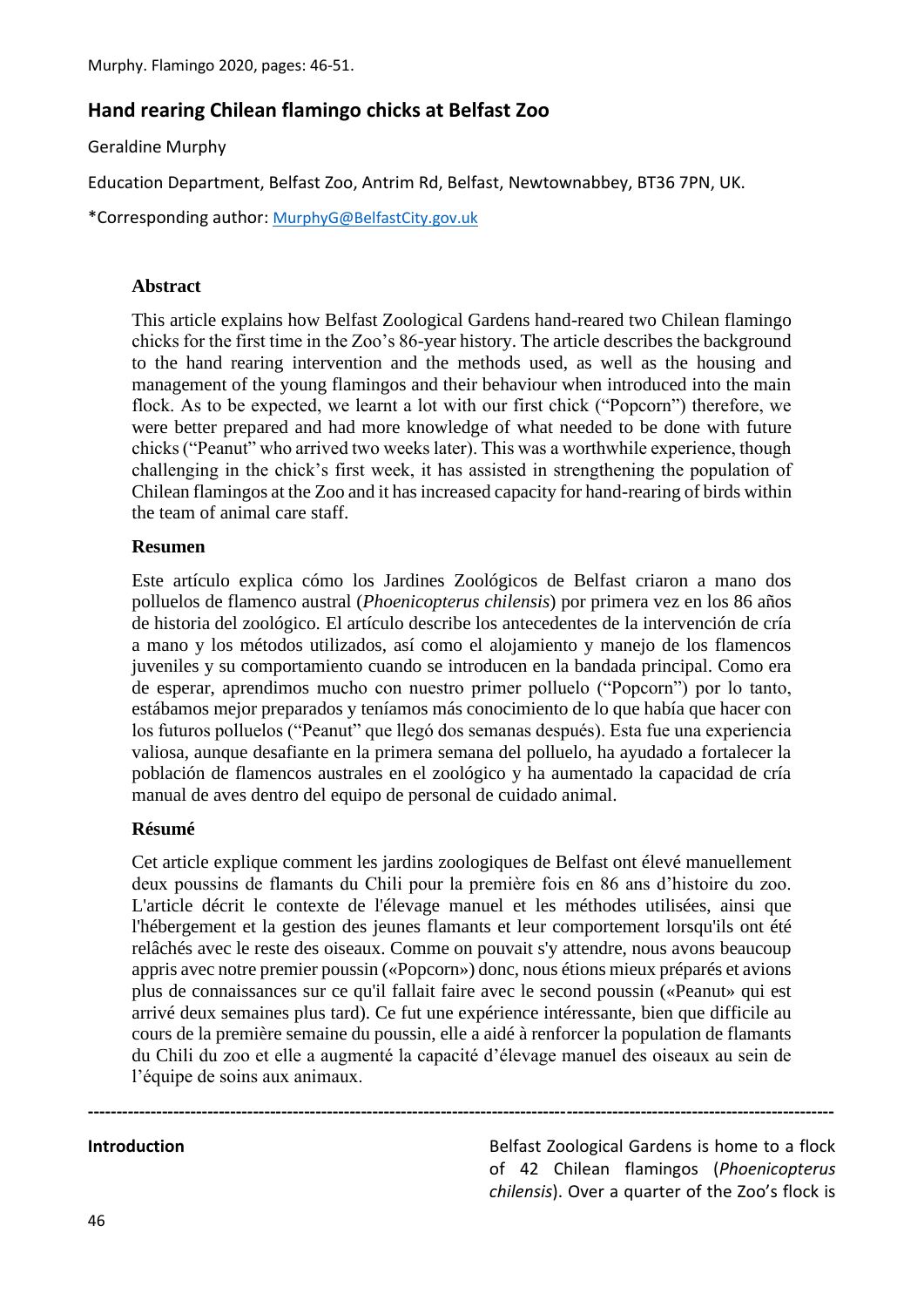# **Hand rearing Chilean flamingo chicks at Belfast Zoo**

Geraldine Murphy

Education Department, Belfast Zoo, Antrim Rd, Belfast, Newtownabbey, BT36 7PN, UK.

\*Corresponding author: [MurphyG@BelfastCity.gov.uk](mailto:MurphyG@BelfastCity.gov.uk)

#### **Abstract**

This article explains how Belfast Zoological Gardens hand-reared two Chilean flamingo chicks for the first time in the Zoo's 86-year history. The article describes the background to the hand rearing intervention and the methods used, as well as the housing and management of the young flamingos and their behaviour when introduced into the main flock. As to be expected, we learnt a lot with our first chick ("Popcorn") therefore, we were better prepared and had more knowledge of what needed to be done with future chicks ("Peanut" who arrived two weeks later). This was a worthwhile experience, though challenging in the chick's first week, it has assisted in strengthening the population of Chilean flamingos at the Zoo and it has increased capacity for hand-rearing of birds within the team of animal care staff.

#### **Resumen**

Este artículo explica cómo los Jardines Zoológicos de Belfast criaron a mano dos polluelos de flamenco austral (*Phoenicopterus chilensis*) por primera vez en los 86 años de historia del zoológico. El artículo describe los antecedentes de la intervención de cría a mano y los métodos utilizados, así como el alojamiento y manejo de los flamencos juveniles y su comportamiento cuando se introducen en la bandada principal. Como era de esperar, aprendimos mucho con nuestro primer polluelo ("Popcorn") por lo tanto, estábamos mejor preparados y teníamos más conocimiento de lo que había que hacer con los futuros polluelos ("Peanut" que llegó dos semanas después). Esta fue una experiencia valiosa, aunque desafiante en la primera semana del polluelo, ha ayudado a fortalecer la población de flamencos australes en el zoológico y ha aumentado la capacidad de cría manual de aves dentro del equipo de personal de cuidado animal.

## **Résumé**

Cet article explique comment les jardins zoologiques de Belfast ont élevé manuellement deux poussins de flamants du Chili pour la première fois en 86 ans d'histoire du zoo. L'article décrit le contexte de l'élevage manuel et les méthodes utilisées, ainsi que l'hébergement et la gestion des jeunes flamants et leur comportement lorsqu'ils ont été relâchés avec le reste des oiseaux. Comme on pouvait s'y attendre, nous avons beaucoup appris avec notre premier poussin («Popcorn») donc, nous étions mieux préparés et avions plus de connaissances sur ce qu'il fallait faire avec le second poussin («Peanut» qui est arrivé deux semaines plus tard). Ce fut une expérience intéressante, bien que difficile au cours de la première semaine du poussin, elle a aidé à renforcer la population de flamants du Chili du zoo et elle a augmenté la capacité d'élevage manuel des oiseaux au sein de l'équipe de soins aux animaux.

**-----------------------------------------------------------------------------------------------------------------------------------**

**Introduction Introduction Belfast Zoological Gardens is home to a flock** of 42 Chilean flamingos (*Phoenicopterus chilensis*). Over a quarter of the Zoo's flock is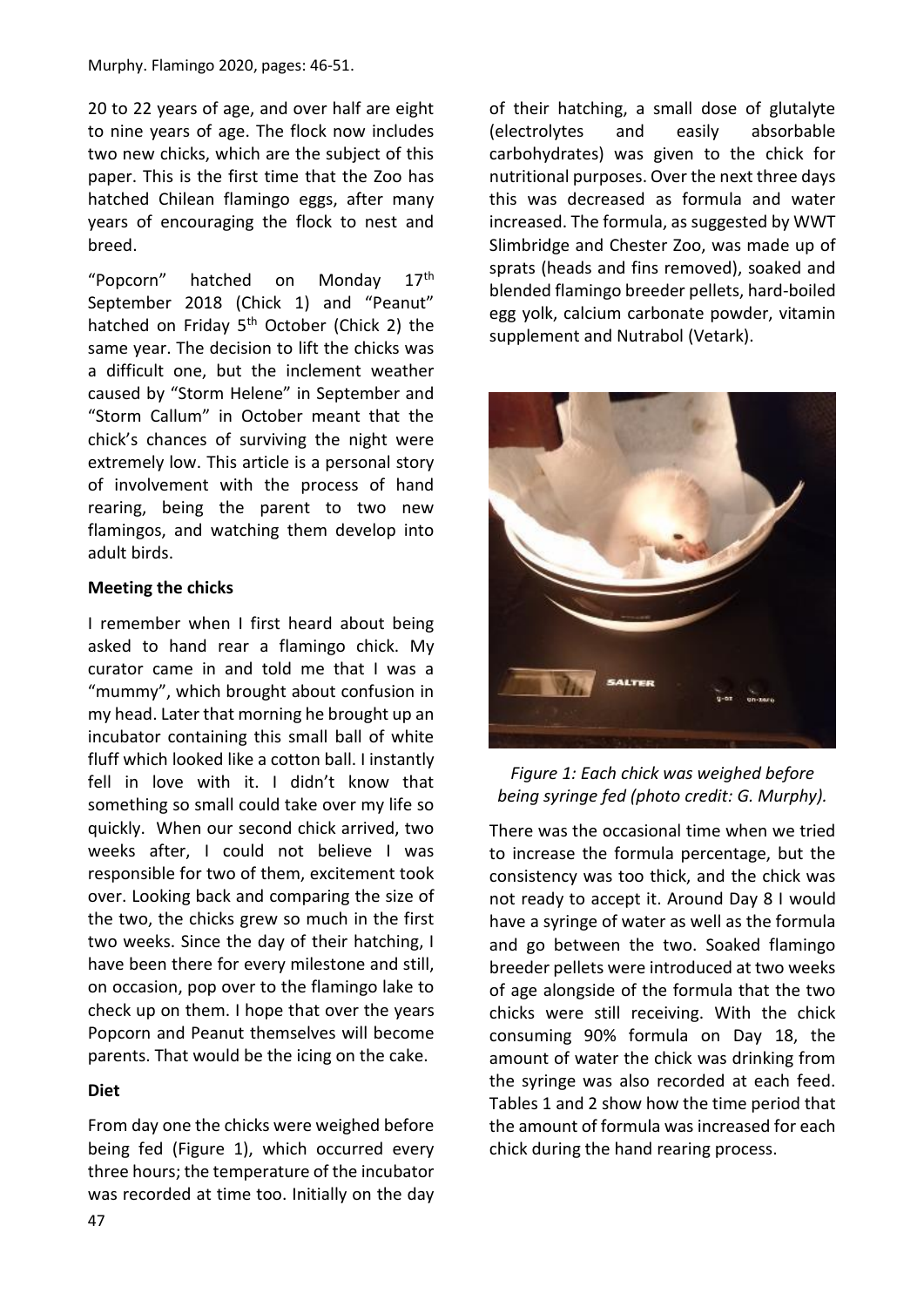20 to 22 years of age, and over half are eight to nine years of age. The flock now includes two new chicks, which are the subject of this paper. This is the first time that the Zoo has hatched Chilean flamingo eggs, after many years of encouraging the flock to nest and breed.

"Popcorn" hatched on Monday 17<sup>th</sup> September 2018 (Chick 1) and "Peanut" hatched on Friday  $5<sup>th</sup>$  October (Chick 2) the same year. The decision to lift the chicks was a difficult one, but the inclement weather caused by "Storm Helene" in September and "Storm Callum" in October meant that the chick's chances of surviving the night were extremely low. This article is a personal story of involvement with the process of hand rearing, being the parent to two new flamingos, and watching them develop into adult birds.

# **Meeting the chicks**

I remember when I first heard about being asked to hand rear a flamingo chick. My curator came in and told me that I was a "mummy", which brought about confusion in my head. Later that morning he brought up an incubator containing this small ball of white fluff which looked like a cotton ball. I instantly fell in love with it. I didn't know that something so small could take over my life so quickly. When our second chick arrived, two weeks after, I could not believe I was responsible for two of them, excitement took over. Looking back and comparing the size of the two, the chicks grew so much in the first two weeks. Since the day of their hatching, I have been there for every milestone and still, on occasion, pop over to the flamingo lake to check up on them. I hope that over the years Popcorn and Peanut themselves will become parents. That would be the icing on the cake.

# **Diet**

From day one the chicks were weighed before being fed (Figure 1), which occurred every three hours; the temperature of the incubator was recorded at time too. Initially on the day of their hatching, a small dose of glutalyte (electrolytes and easily absorbable carbohydrates) was given to the chick for nutritional purposes. Over the next three days this was decreased as formula and water increased. The formula, as suggested by WWT Slimbridge and Chester Zoo, was made up of sprats (heads and fins removed), soaked and blended flamingo breeder pellets, hard-boiled egg yolk, calcium carbonate powder, vitamin supplement and Nutrabol (Vetark).



*Figure 1: Each chick was weighed before being syringe fed (photo credit: G. Murphy).*

There was the occasional time when we tried to increase the formula percentage, but the consistency was too thick, and the chick was not ready to accept it. Around Day 8 I would have a syringe of water as well as the formula and go between the two. Soaked flamingo breeder pellets were introduced at two weeks of age alongside of the formula that the two chicks were still receiving. With the chick consuming 90% formula on Day 18, the amount of water the chick was drinking from the syringe was also recorded at each feed. Tables 1 and 2 show how the time period that the amount of formula was increased for each chick during the hand rearing process.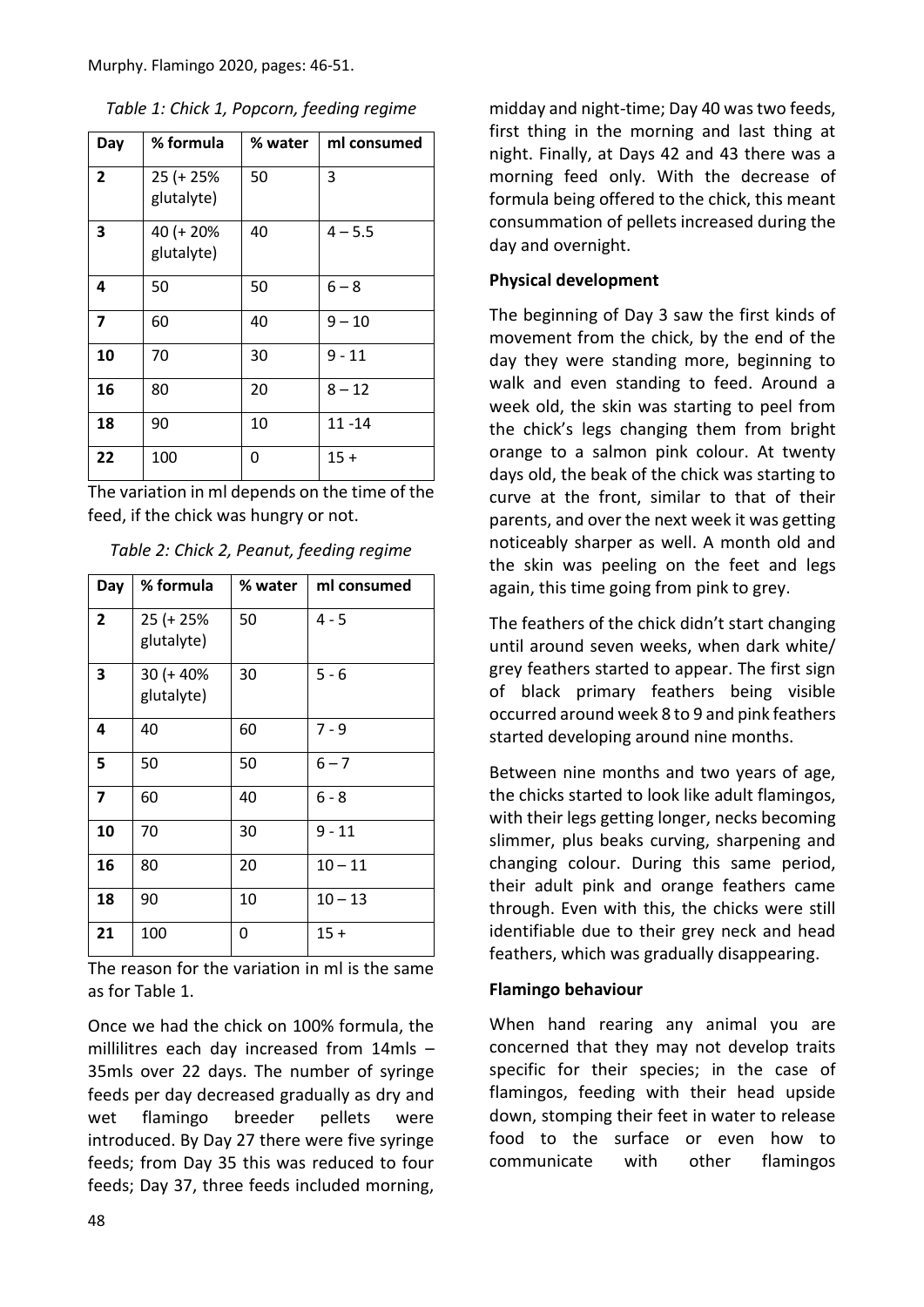| Day            | % formula               | % water | ml consumed |
|----------------|-------------------------|---------|-------------|
| $\overline{2}$ | 25 (+ 25%<br>glutalyte) | 50      | 3           |
| 3              | 40 (+ 20%<br>glutalyte) | 40      | $4 - 5.5$   |
| 4              | 50                      | 50      | $6 - 8$     |
| 7              | 60                      | 40      | $9 - 10$    |
| 10             | 70                      | 30      | $9 - 11$    |
| 16             | 80                      | 20      | $8 - 12$    |
| 18             | 90                      | 10      | $11 - 14$   |
| 22             | 100                     | 0       | $15 +$      |

The variation in ml depends on the time of the feed, if the chick was hungry or not.

| Day            | % formula                  | % water | ml consumed |
|----------------|----------------------------|---------|-------------|
| $\overline{2}$ | 25 (+ 25%<br>glutalyte)    | 50      | $4 - 5$     |
| 3              | $30 (+ 40\%$<br>glutalyte) | 30      | $5 - 6$     |
| 4              | 40                         | 60      | $7 - 9$     |
| 5              | 50                         | 50      | $6 - 7$     |
| $\overline{7}$ | 60                         | 40      | $6 - 8$     |
| 10             | 70                         | 30      | $9 - 11$    |
| 16             | 80                         | 20      | $10 - 11$   |
| 18             | 90                         | 10      | $10 - 13$   |
| 21             | 100                        | 0       | $15 +$      |

The reason for the variation in ml is the same as for Table 1.

Once we had the chick on 100% formula, the millilitres each day increased from 14mls – 35mls over 22 days. The number of syringe feeds per day decreased gradually as dry and wet flamingo breeder pellets were introduced. By Day 27 there were five syringe feeds; from Day 35 this was reduced to four feeds; Day 37, three feeds included morning,

midday and night-time; Day 40 was two feeds, first thing in the morning and last thing at night. Finally, at Days 42 and 43 there was a morning feed only. With the decrease of formula being offered to the chick, this meant consummation of pellets increased during the day and overnight.

## **Physical development**

The beginning of Day 3 saw the first kinds of movement from the chick, by the end of the day they were standing more, beginning to walk and even standing to feed. Around a week old, the skin was starting to peel from the chick's legs changing them from bright orange to a salmon pink colour. At twenty days old, the beak of the chick was starting to curve at the front, similar to that of their parents, and over the next week it was getting noticeably sharper as well. A month old and the skin was peeling on the feet and legs again, this time going from pink to grey.

The feathers of the chick didn't start changing until around seven weeks, when dark white/ grey feathers started to appear. The first sign of black primary feathers being visible occurred around week 8 to 9 and pink feathers started developing around nine months.

Between nine months and two years of age, the chicks started to look like adult flamingos, with their legs getting longer, necks becoming slimmer, plus beaks curving, sharpening and changing colour. During this same period, their adult pink and orange feathers came through. Even with this, the chicks were still identifiable due to their grey neck and head feathers, which was gradually disappearing.

## **Flamingo behaviour**

When hand rearing any animal you are concerned that they may not develop traits specific for their species; in the case of flamingos, feeding with their head upside down, stomping their feet in water to release food to the surface or even how to communicate with other flamingos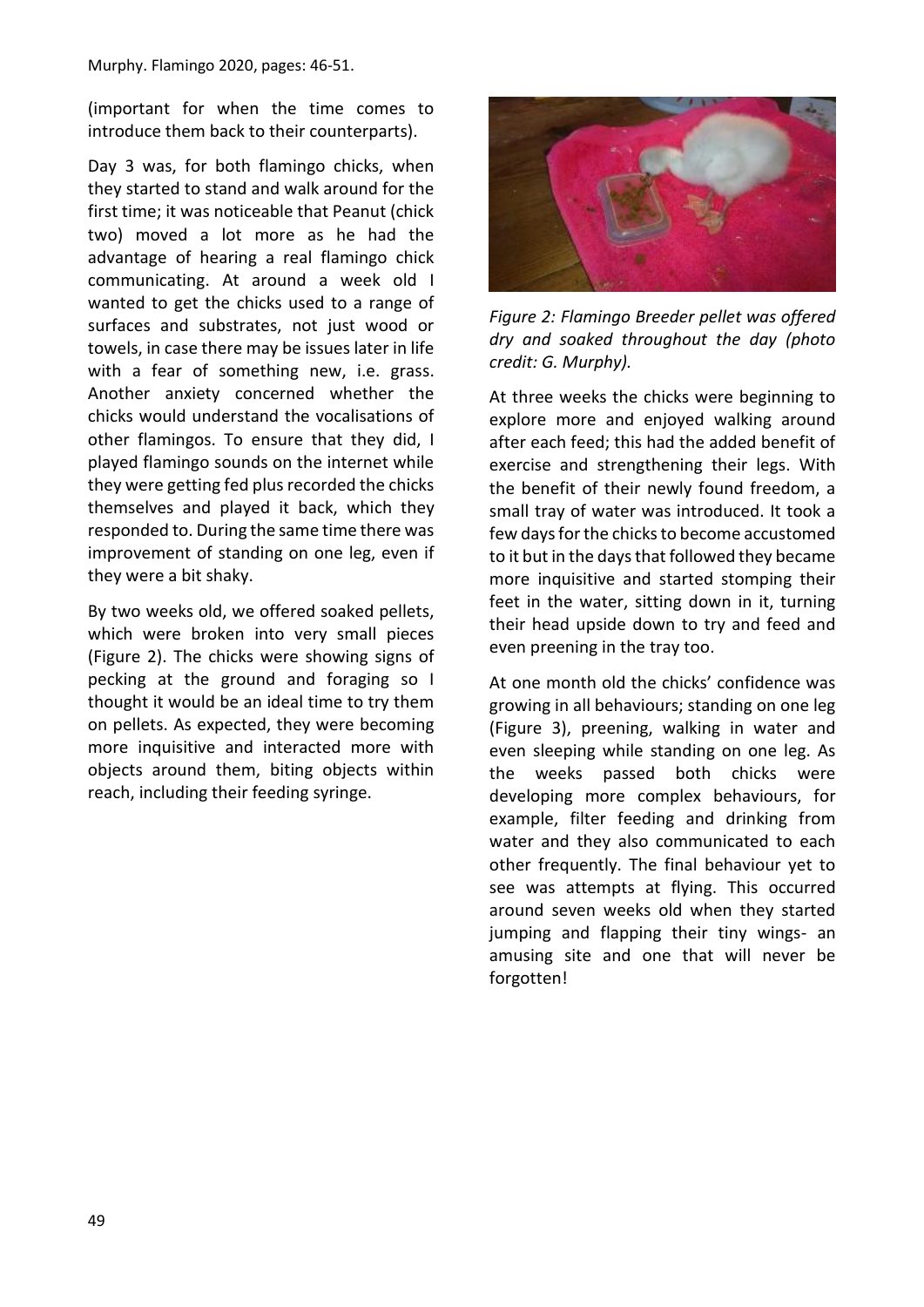(important for when the time comes to introduce them back to their counterparts).

Day 3 was, for both flamingo chicks, when they started to stand and walk around for the first time; it was noticeable that Peanut (chick two) moved a lot more as he had the advantage of hearing a real flamingo chick communicating. At around a week old I wanted to get the chicks used to a range of surfaces and substrates, not just wood or towels, in case there may be issues later in life with a fear of something new, i.e. grass. Another anxiety concerned whether the chicks would understand the vocalisations of other flamingos. To ensure that they did, I played flamingo sounds on the internet while they were getting fed plus recorded the chicks themselves and played it back, which they responded to. During the same time there was improvement of standing on one leg, even if they were a bit shaky.

By two weeks old, we offered soaked pellets, which were broken into very small pieces (Figure 2). The chicks were showing signs of pecking at the ground and foraging so I thought it would be an ideal time to try them on pellets. As expected, they were becoming more inquisitive and interacted more with objects around them, biting objects within reach, including their feeding syringe.



*Figure 2: Flamingo Breeder pellet was offered dry and soaked throughout the day (photo credit: G. Murphy).*

At three weeks the chicks were beginning to explore more and enjoyed walking around after each feed; this had the added benefit of exercise and strengthening their legs. With the benefit of their newly found freedom, a small tray of water was introduced. It took a few days for the chicks to become accustomed to it but in the days that followed they became more inquisitive and started stomping their feet in the water, sitting down in it, turning their head upside down to try and feed and even preening in the tray too.

At one month old the chicks' confidence was growing in all behaviours; standing on one leg (Figure 3), preening, walking in water and even sleeping while standing on one leg. As the weeks passed both chicks were developing more complex behaviours, for example, filter feeding and drinking from water and they also communicated to each other frequently. The final behaviour yet to see was attempts at flying. This occurred around seven weeks old when they started jumping and flapping their tiny wings- an amusing site and one that will never be forgotten!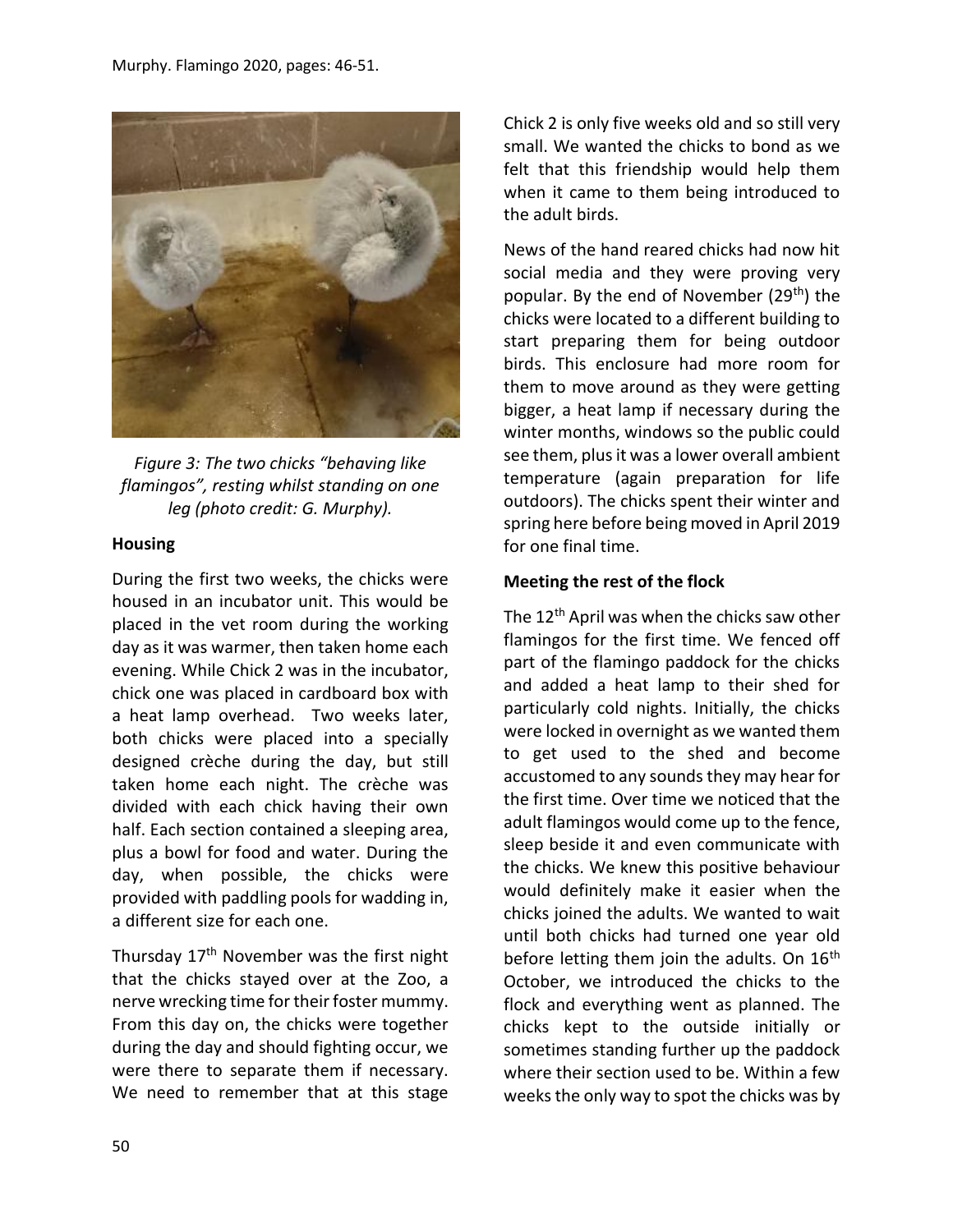

*Figure 3: The two chicks "behaving like flamingos", resting whilst standing on one leg (photo credit: G. Murphy).*

#### **Housing**

During the first two weeks, the chicks were housed in an incubator unit. This would be placed in the vet room during the working day as it was warmer, then taken home each evening. While Chick 2 was in the incubator, chick one was placed in cardboard box with a heat lamp overhead. Two weeks later, both chicks were placed into a specially designed crèche during the day, but still taken home each night. The crèche was divided with each chick having their own half. Each section contained a sleeping area, plus a bowl for food and water. During the day, when possible, the chicks were provided with paddling pools for wadding in, a different size for each one.

Thursday 17<sup>th</sup> November was the first night that the chicks stayed over at the Zoo, a nerve wrecking time for their foster mummy. From this day on, the chicks were together during the day and should fighting occur, we were there to separate them if necessary. We need to remember that at this stage

Chick 2 is only five weeks old and so still very small. We wanted the chicks to bond as we felt that this friendship would help them when it came to them being introduced to the adult birds.

News of the hand reared chicks had now hit social media and they were proving very popular. By the end of November (29th) the chicks were located to a different building to start preparing them for being outdoor birds. This enclosure had more room for them to move around as they were getting bigger, a heat lamp if necessary during the winter months, windows so the public could see them, plus it was a lower overall ambient temperature (again preparation for life outdoors). The chicks spent their winter and spring here before being moved in April 2019 for one final time.

# **Meeting the rest of the flock**

The 12<sup>th</sup> April was when the chicks saw other flamingos for the first time. We fenced off part of the flamingo paddock for the chicks and added a heat lamp to their shed for particularly cold nights. Initially, the chicks were locked in overnight as we wanted them to get used to the shed and become accustomed to any sounds they may hear for the first time. Over time we noticed that the adult flamingos would come up to the fence, sleep beside it and even communicate with the chicks. We knew this positive behaviour would definitely make it easier when the chicks joined the adults. We wanted to wait until both chicks had turned one year old before letting them join the adults. On  $16<sup>th</sup>$ October, we introduced the chicks to the flock and everything went as planned. The chicks kept to the outside initially or sometimes standing further up the paddock where their section used to be. Within a few weeks the only way to spot the chicks was by